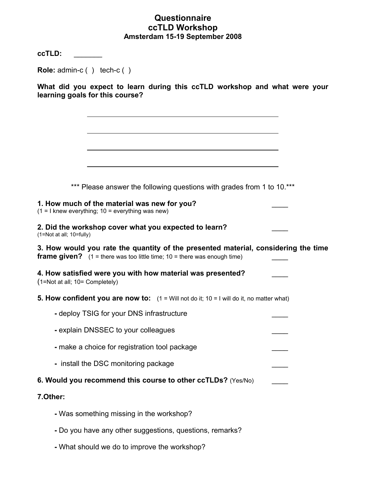## **Questionnaire ccTLD Workshop Amsterdam 15-19 September 2008**

**ccTLD:** \_\_\_\_\_\_\_

**Role:** admin-c ( ) tech-c ( )

**What did you expect to learn during this ccTLD workshop and what were your learning goals for this course?**

\*\*\* Please answer the following questions with grades from 1 to 10.\*\*\*

#### **1. How much of the material was new for you?** \_\_\_\_

 $(1 = 1$  knew everything;  $10 =$  everything was new)

**2. Did the workshop cover what you expected to learn?** \_\_\_\_ (1=Not at all; 10=fully)

**3. How would you rate the quantity of the presented material, considering the time frame given?** (1 = there was too little time; 10 = there was enough time)

## **4. How satisfied were you with how material was presented?** \_\_\_\_

(1=Not at all; 10= Completely)

**5. How confident you are now to:** (1 = Will not do it; 10 = I will do it, no matter what)

- deploy TSIG for your DNS infrastructure \_\_\_\_
- explain DNSSEC to your colleagues \_\_\_\_
- make a choice for registration tool package \_\_\_\_
- install the DSC monitoring package

## **6. Would you recommend this course to other ccTLDs?** (Yes/No)

#### **7.Other:**

- **-** Was something missing in the workshop?
- **-** Do you have any other suggestions, questions, remarks?
- **-** What should we do to improve the workshop?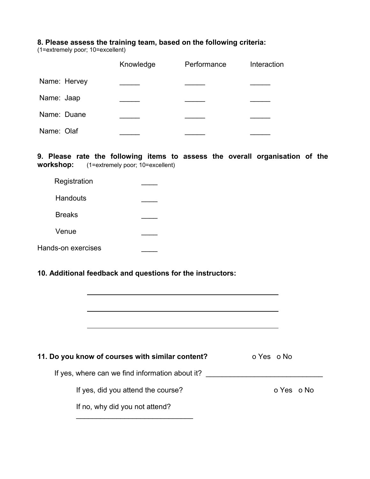### **8. Please assess the training team, based on the following criteria:**

(1=extremely poor; 10=excellent)

|              | Knowledge | Performance | Interaction |
|--------------|-----------|-------------|-------------|
| Name: Hervey |           |             |             |
| Name: Jaap   |           |             |             |
| Name: Duane  |           |             |             |
| Name: Olaf   |           |             |             |

**9. Please rate the following items to assess the overall organisation of the workshop:** (1=extremely poor; 10=excellent)

| Registration       |  |
|--------------------|--|
| Handouts           |  |
| <b>Breaks</b>      |  |
| Venue              |  |
| Hands-on exercises |  |

#### **10. Additional feedback and questions for the instructors:**

| 11. Do you know of courses with similar content? | o Yes o No |            |
|--------------------------------------------------|------------|------------|
| If yes, where can we find information about it?  |            |            |
| If yes, did you attend the course?               |            | o Yes o No |
| If no, why did you not attend?                   |            |            |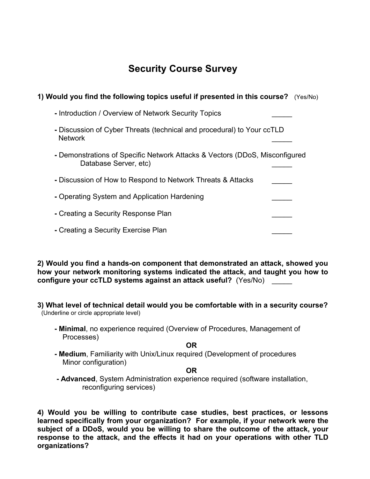# **Security Course Survey**

**1) Would you find the following topics useful if presented in this course?** (Yes/No)

| 1) WOUIQ you find the following topics useful if presented in this course $\epsilon$ (Yes/No)        |  |
|------------------------------------------------------------------------------------------------------|--|
| - Introduction / Overview of Network Security Topics                                                 |  |
| - Discussion of Cyber Threats (technical and procedural) to Your ccTLD<br><b>Network</b>             |  |
| - Demonstrations of Specific Network Attacks & Vectors (DDoS, Misconfigured<br>Database Server, etc) |  |
| - Discussion of How to Respond to Network Threats & Attacks                                          |  |
| - Operating System and Application Hardening                                                         |  |
| - Creating a Security Response Plan                                                                  |  |
| - Creating a Security Exercise Plan                                                                  |  |
|                                                                                                      |  |

**2) Would you find a hands-on component that demonstrated an attack, showed you how your network monitoring systems indicated the attack, and taught you how to configure your ccTLD systems against an attack useful?** (Yes/No) \_\_\_\_\_

**3) What level of technical detail would you be comfortable with in a security course?** (Underline or circle appropriate level)

**- Minimal**, no experience required (Overview of Procedures, Management of Processes)

**OR**

**- Medium**, Familiarity with Unix/Linux required (Development of procedures Minor configuration)

**OR**

**- Advanced**, System Administration experience required (software installation, reconfiguring services)

**4) Would you be willing to contribute case studies, best practices, or lessons learned specifically from your organization? For example, if your network were the subject of a DDoS, would you be willing to share the outcome of the attack, your response to the attack, and the effects it had on your operations with other TLD organizations?**